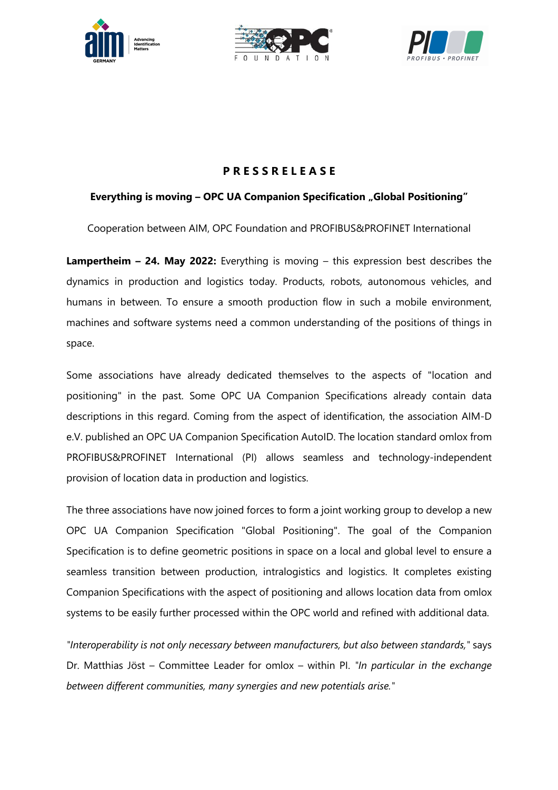





# **P R E S S R E L E A S E**

## **Everything is moving – OPC UA Companion Specification "Global Positioning"**

Cooperation between AIM, OPC Foundation and PROFIBUS&PROFINET International

**Lampertheim – 24. May 2022:** Everything is moving – this expression best describes the dynamics in production and logistics today. Products, robots, autonomous vehicles, and humans in between. To ensure a smooth production flow in such a mobile environment, machines and software systems need a common understanding of the positions of things in space.

Some associations have already dedicated themselves to the aspects of "location and positioning" in the past. Some OPC UA Companion Specifications already contain data descriptions in this regard. Coming from the aspect of identification, the association AIM-D e.V. published an OPC UA Companion Specification AutoID. The location standard omlox from PROFIBUS&PROFINET International (PI) allows seamless and technology-independent provision of location data in production and logistics.

The three associations have now joined forces to form a joint working group to develop a new OPC UA Companion Specification "Global Positioning". The goal of the Companion Specification is to define geometric positions in space on a local and global level to ensure a seamless transition between production, intralogistics and logistics. It completes existing Companion Specifications with the aspect of positioning and allows location data from omlox systems to be easily further processed within the OPC world and refined with additional data.

*"Interoperability is not only necessary between manufacturers, but also between standards,"* says Dr. Matthias Jöst – Committee Leader for omlox – within PI. *"In particular in the exchange between different communities, many synergies and new potentials arise."*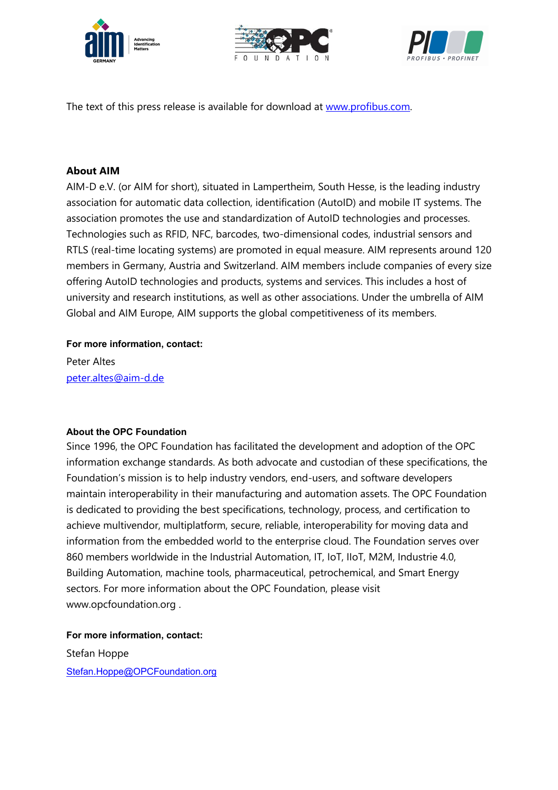





The text of this press release is available for download at www.profibus.com.

## **About AIM**

AIM-D e.V. (or AIM for short), situated in Lampertheim, South Hesse, is the leading industry association for automatic data collection, identification (AutoID) and mobile IT systems. The association promotes the use and standardization of AutoID technologies and processes. Technologies such as RFID, NFC, barcodes, two-dimensional codes, industrial sensors and RTLS (real-time locating systems) are promoted in equal measure. AIM represents around 120 members in Germany, Austria and Switzerland. AIM members include companies of every size offering AutoID technologies and products, systems and services. This includes a host of university and research institutions, as well as other associations. Under the umbrella of AIM Global and AIM Europe, AIM supports the global competitiveness of its members.

#### **For more information, contact:**

Peter Altes peter.altes@aim-d.de

#### **About the OPC Foundation**

Since 1996, the OPC Foundation has facilitated the development and adoption of the OPC information exchange standards. As both advocate and custodian of these specifications, the Foundation's mission is to help industry vendors, end-users, and software developers maintain interoperability in their manufacturing and automation assets. The OPC Foundation is dedicated to providing the best specifications, technology, process, and certification to achieve multivendor, multiplatform, secure, reliable, interoperability for moving data and information from the embedded world to the enterprise cloud. The Foundation serves over 860 members worldwide in the Industrial Automation, IT, IoT, IIoT, M2M, Industrie 4.0, Building Automation, machine tools, pharmaceutical, petrochemical, and Smart Energy sectors. For more information about the OPC Foundation, please visit www.opcfoundation.org .

**For more information, contact:**

Stefan Hoppe Stefan.Hoppe@OPCFoundation.org